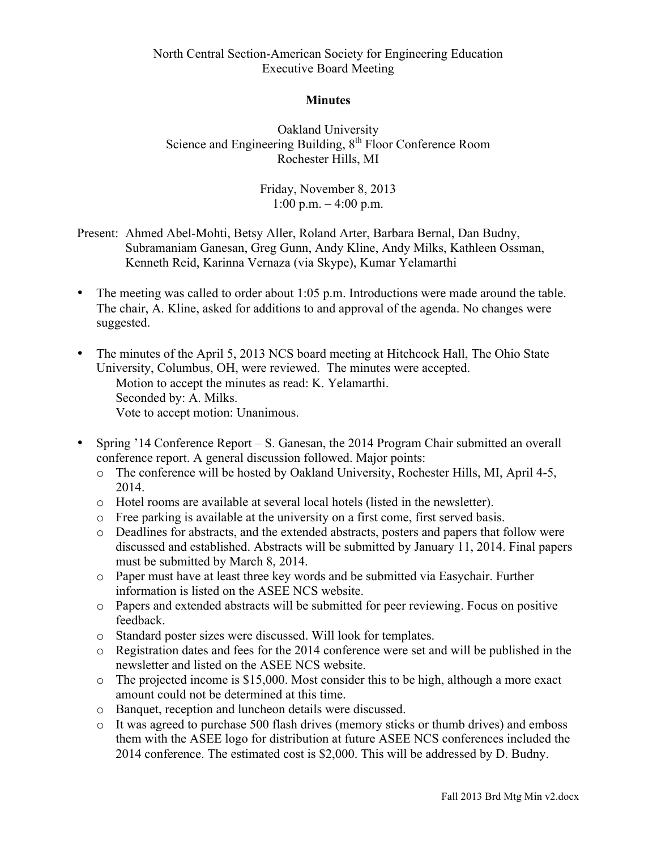## North Central Section-American Society for Engineering Education Executive Board Meeting

#### **Minutes**

Oakland University Science and Engineering Building, 8<sup>th</sup> Floor Conference Room Rochester Hills, MI

> Friday, November 8, 2013 1:00 p.m.  $-4:00$  p.m.

- Present: Ahmed Abel-Mohti, Betsy Aller, Roland Arter, Barbara Bernal, Dan Budny, Subramaniam Ganesan, Greg Gunn, Andy Kline, Andy Milks, Kathleen Ossman, Kenneth Reid, Karinna Vernaza (via Skype), Kumar Yelamarthi
- The meeting was called to order about 1:05 p.m. Introductions were made around the table. The chair, A. Kline, asked for additions to and approval of the agenda. No changes were suggested.
- The minutes of the April 5, 2013 NCS board meeting at Hitchcock Hall, The Ohio State University, Columbus, OH, were reviewed. The minutes were accepted. Motion to accept the minutes as read: K. Yelamarthi. Seconded by: A. Milks. Vote to accept motion: Unanimous.
- Spring '14 Conference Report S. Ganesan, the 2014 Program Chair submitted an overall conference report. A general discussion followed. Major points:
	- o The conference will be hosted by Oakland University, Rochester Hills, MI, April 4-5, 2014.
	- o Hotel rooms are available at several local hotels (listed in the newsletter).
	- $\circ$  Free parking is available at the university on a first come, first served basis.
	- o Deadlines for abstracts, and the extended abstracts, posters and papers that follow were discussed and established. Abstracts will be submitted by January 11, 2014. Final papers must be submitted by March 8, 2014.
	- o Paper must have at least three key words and be submitted via Easychair. Further information is listed on the ASEE NCS website.
	- o Papers and extended abstracts will be submitted for peer reviewing. Focus on positive feedback.
	- o Standard poster sizes were discussed. Will look for templates.
	- o Registration dates and fees for the 2014 conference were set and will be published in the newsletter and listed on the ASEE NCS website.
	- o The projected income is \$15,000. Most consider this to be high, although a more exact amount could not be determined at this time.
	- o Banquet, reception and luncheon details were discussed.
	- o It was agreed to purchase 500 flash drives (memory sticks or thumb drives) and emboss them with the ASEE logo for distribution at future ASEE NCS conferences included the 2014 conference. The estimated cost is \$2,000. This will be addressed by D. Budny.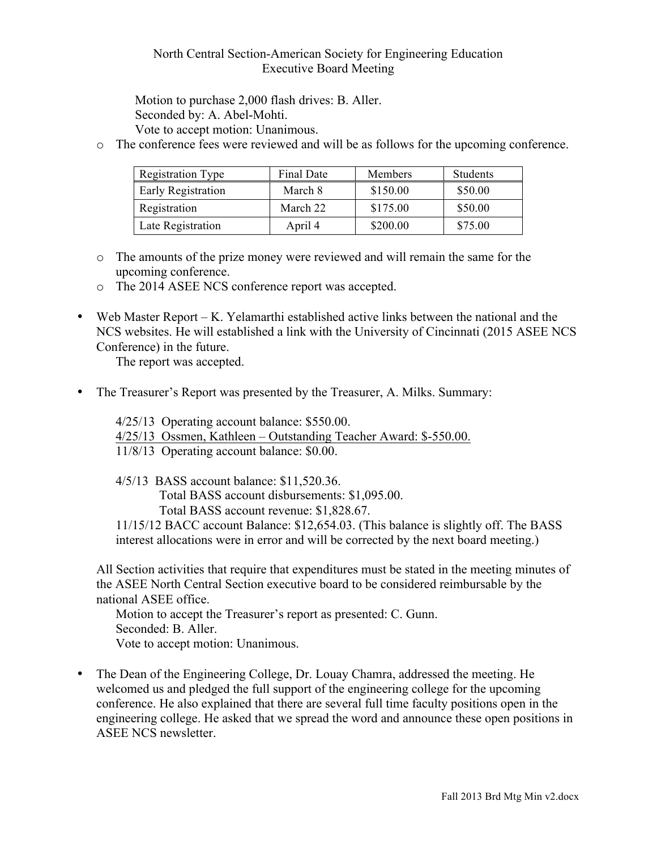## North Central Section-American Society for Engineering Education Executive Board Meeting

Motion to purchase 2,000 flash drives: B. Aller. Seconded by: A. Abel-Mohti. Vote to accept motion: Unanimous.

o The conference fees were reviewed and will be as follows for the upcoming conference.

| <b>Registration Type</b> | Final Date | Members  | Students |
|--------------------------|------------|----------|----------|
| Early Registration       | March 8    | \$150.00 | \$50.00  |
| Registration             | March 22   | \$175.00 | \$50.00  |
| Late Registration        | April 4    | \$200.00 | \$75.00  |

- o The amounts of the prize money were reviewed and will remain the same for the upcoming conference.
- o The 2014 ASEE NCS conference report was accepted.
- Web Master Report K. Yelamarthi established active links between the national and the NCS websites. He will established a link with the University of Cincinnati (2015 ASEE NCS Conference) in the future.

The report was accepted.

• The Treasurer's Report was presented by the Treasurer, A. Milks. Summary:

4/25/13 Operating account balance: \$550.00. 4/25/13 Ossmen, Kathleen – Outstanding Teacher Award: \$-550.00. 11/8/13 Operating account balance: \$0.00.

4/5/13 BASS account balance: \$11,520.36. Total BASS account disbursements: \$1,095.00. Total BASS account revenue: \$1,828.67. 11/15/12 BACC account Balance: \$12,654.03. (This balance is slightly off. The BASS interest allocations were in error and will be corrected by the next board meeting.)

All Section activities that require that expenditures must be stated in the meeting minutes of the ASEE North Central Section executive board to be considered reimbursable by the national ASEE office.

Motion to accept the Treasurer's report as presented: C. Gunn. Seconded: B. Aller. Vote to accept motion: Unanimous.

• The Dean of the Engineering College, Dr. Louay Chamra, addressed the meeting. He welcomed us and pledged the full support of the engineering college for the upcoming conference. He also explained that there are several full time faculty positions open in the engineering college. He asked that we spread the word and announce these open positions in ASEE NCS newsletter.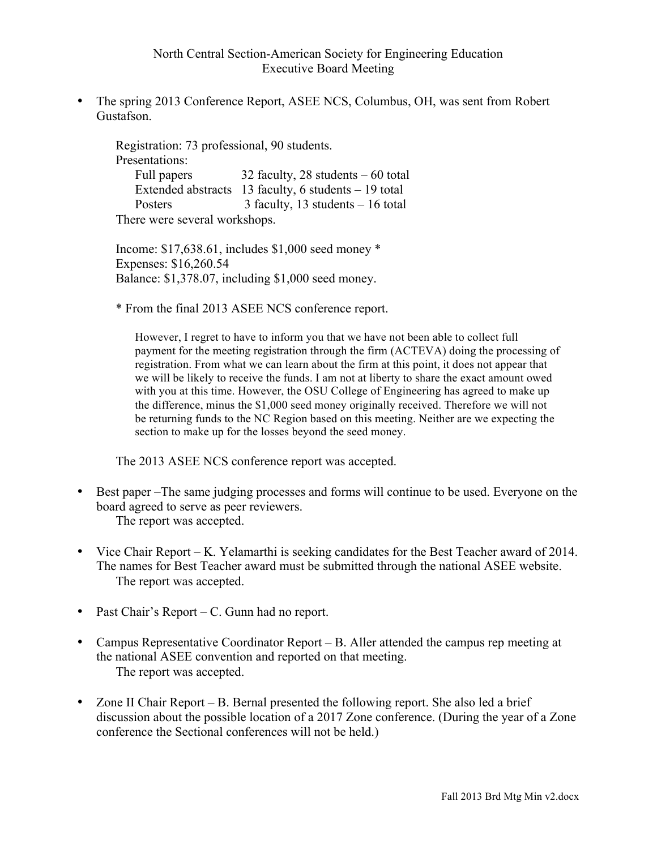• The spring 2013 Conference Report, ASEE NCS, Columbus, OH, was sent from Robert Gustafson.

Registration: 73 professional, 90 students. Presentations: Full papers 32 faculty, 28 students – 60 total Extended abstracts 13 faculty, 6 students – 19 total Posters 3 faculty, 13 students – 16 total There were several workshops.

Income: \$17,638.61, includes \$1,000 seed money \* Expenses: \$16,260.54 Balance: \$1,378.07, including \$1,000 seed money.

\* From the final 2013 ASEE NCS conference report.

However, I regret to have to inform you that we have not been able to collect full payment for the meeting registration through the firm (ACTEVA) doing the processing of registration. From what we can learn about the firm at this point, it does not appear that we will be likely to receive the funds. I am not at liberty to share the exact amount owed with you at this time. However, the OSU College of Engineering has agreed to make up the difference, minus the \$1,000 seed money originally received. Therefore we will not be returning funds to the NC Region based on this meeting. Neither are we expecting the section to make up for the losses beyond the seed money.

The 2013 ASEE NCS conference report was accepted.

- Best paper –The same judging processes and forms will continue to be used. Everyone on the board agreed to serve as peer reviewers. The report was accepted.
- Vice Chair Report K. Yelamarthi is seeking candidates for the Best Teacher award of 2014. The names for Best Teacher award must be submitted through the national ASEE website. The report was accepted.
- Past Chair's Report C. Gunn had no report.
- Campus Representative Coordinator Report B. Aller attended the campus rep meeting at the national ASEE convention and reported on that meeting. The report was accepted.
- Zone II Chair Report B. Bernal presented the following report. She also led a brief discussion about the possible location of a 2017 Zone conference. (During the year of a Zone conference the Sectional conferences will not be held.)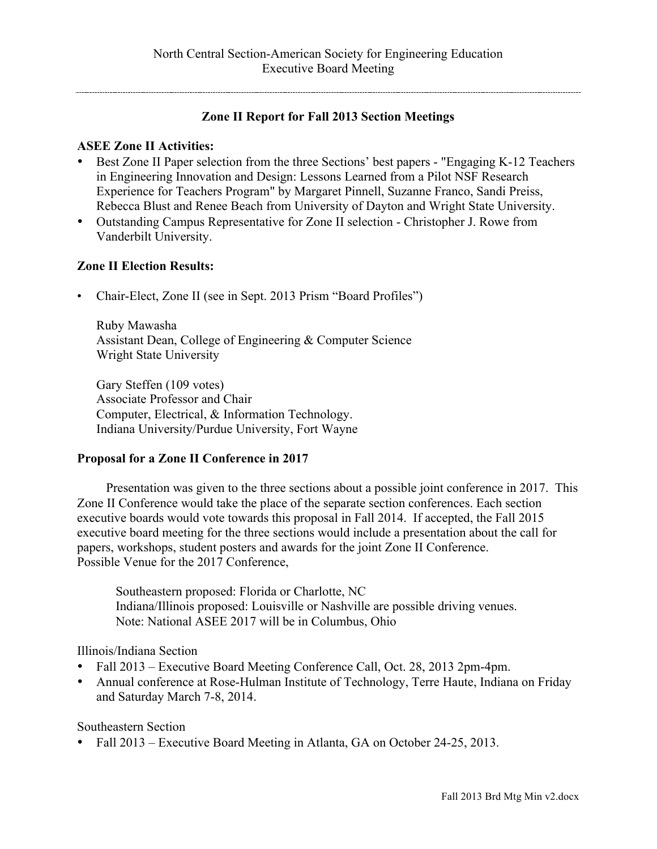# **Zone II Report for Fall 2013 Section Meetings**

# **ASEE Zone II Activities:**

- Best Zone II Paper selection from the three Sections' best papers "Engaging K-12 Teachers in Engineering Innovation and Design: Lessons Learned from a Pilot NSF Research Experience for Teachers Program" by Margaret Pinnell, Suzanne Franco, Sandi Preiss, Rebecca Blust and Renee Beach from University of Dayton and Wright State University.
- Outstanding Campus Representative for Zone II selection Christopher J. Rowe from Vanderbilt University.

#### **Zone II Election Results:**

• Chair-Elect, Zone II (see in Sept. 2013 Prism "Board Profiles")

Ruby Mawasha Assistant Dean, College of Engineering & Computer Science Wright State University

Gary Steffen (109 votes) Associate Professor and Chair Computer, Electrical, & Information Technology. Indiana University/Purdue University, Fort Wayne

# **Proposal for a Zone II Conference in 2017**

Presentation was given to the three sections about a possible joint conference in 2017. This Zone II Conference would take the place of the separate section conferences. Each section executive boards would vote towards this proposal in Fall 2014. If accepted, the Fall 2015 executive board meeting for the three sections would include a presentation about the call for papers, workshops, student posters and awards for the joint Zone II Conference. Possible Venue for the 2017 Conference,

Southeastern proposed: Florida or Charlotte, NC Indiana/Illinois proposed: Louisville or Nashville are possible driving venues. Note: National ASEE 2017 will be in Columbus, Ohio

# Illinois/Indiana Section

- Fall 2013 Executive Board Meeting Conference Call, Oct. 28, 2013 2pm-4pm.
- Annual conference at Rose-Hulman Institute of Technology, Terre Haute, Indiana on Friday and Saturday March 7-8, 2014.

Southeastern Section

• Fall 2013 – Executive Board Meeting in Atlanta, GA on October 24-25, 2013.